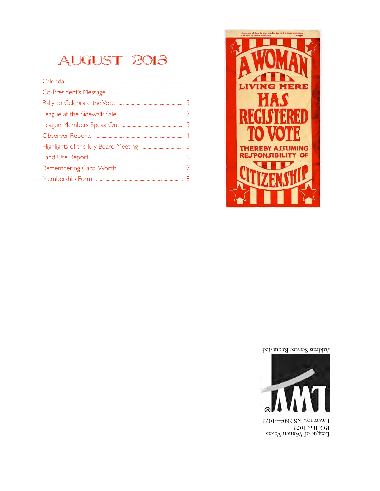## August 2013



Address Service Requested



League of Women Voters P.O. Box 1072 Lawrence, KS 66044-1072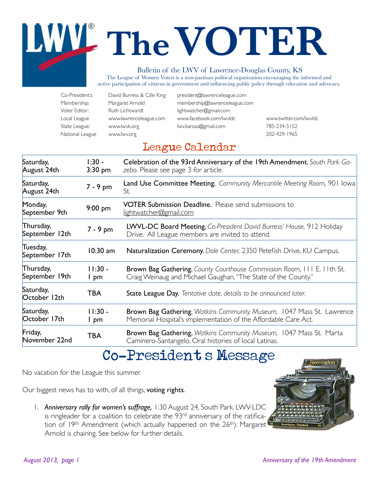# **TheVOTER**

#### Bulletin of the LWV of Lawrence-Douglas County, KS

The League of Women Voters is a non-partisan political organization encouraging the informed and active participation of citizens in government and influencing public policy through education and advocacy.

| Co-President:s  | David Burress & Cille King | president@lawrenceleague.com  |                        |
|-----------------|----------------------------|-------------------------------|------------------------|
| Membership:     | Margaret Arnold            | membership@lawrenceleague.com |                        |
| Voter Editor:   | Ruth Lichtwardt            | lightwatcher@gmail.com        |                        |
| Local League    | www.lawrenceleague.com     | www.facebook.com/lwvldc       | www.twitter.com/lwvldc |
| State League:   | www.lwvk.org               | lwy.kansas@gmail.com          | 785-234-5152           |
| National League | www.lwv.org                |                               | 202-429-1965           |

## League Calendar

| Saturday,<br>August 24th    | $1:30 -$<br>$3:30$ pm | Celebration of the 93rd Anniversary of the 19th Amendment. South Park Ga-<br>zebo. Please see page 3 for article.                               |
|-----------------------------|-----------------------|-------------------------------------------------------------------------------------------------------------------------------------------------|
| Saturday,<br>August 24th    | 7 - 9 pm              | Land Use Committee Meeting. Community Mercantile Meeting Room, 901 lowa<br>St.                                                                  |
| Monday,<br>September 9th    | $9:00$ pm             | <b>VOTER Submission Deadline.</b> Please send submissions to<br>lightwatcher@gmail.com                                                          |
| Thursday,<br>September 12th | 7 - 9 pm              | LWVL-DC Board Meeting. Co-President David Burress' House, 912 Holiday<br>Drive. All League members are invited to attend.                       |
| Tuesday,<br>September 17th  | $10:30$ am            | Naturalization Ceremony. Dole Center, 2350 Petefish Drive, KU Campus.                                                                           |
| Thursday,<br>September 19th | $11:30 -$<br>I pm     | <b>Brown Bag Gathering.</b> County Courthouse Commission Room, III E. IIth St.<br>Craig Weinaug and Michael Gaughan, "The State of the County." |
| Saturday,<br>October 12th   | <b>TBA</b>            | State League Day. Tentative date, details to be announced later.                                                                                |
| Saturday,<br>October 17th   | $11:30 -$<br>I pm     | <b>Brown Bag Gathering.</b> Watkins Community Museum, 1047 Mass St. Lawrence<br>Memorial Hospital's implementation of the Affordable Care Act.  |
| Friday,<br>November 22nd    | TBA                   | Brown Bag Gathering. Watkins Community Museum, 1047 Mass St. Marta<br>Caminero-Santangelo, Oral histories of local Latinas.                     |

## Co-President's Message

No vacation for the League this summer.

Our biggest news has to with, of all things, voting rights.

1. *Anniversary rally for women's suffrage,* 1:30 August 24, South Park. LWV-LDC is ringleader for a coalition to celebrate the 93rd anniversary of the ratification of 19<sup>th</sup> Amendment (which actually happened on the 26<sup>th</sup>). Margaret Arnold is chairing. See below for further details.

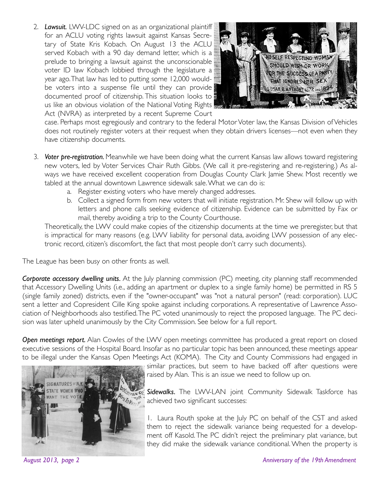2. *Lawsuit.* LWV-LDC signed on as an organizational plaintiff for an ACLU voting rights lawsuit against Kansas Secretary of State Kris Kobach. On August 13 the ACLU served Kobach with a 90 day demand letter, which is a prelude to bringing a lawsuit against the unconscionable voter ID law Kobach lobbied through the legislature a year ago. That law has led to putting some 12,000 wouldbe voters into a suspense file until they can provide documented proof of citizenship. This situation looks to us like an obvious violation of the National Voting Rights Act (NVRA) as interpreted by a recent Supreme Court



case. Perhaps most egregiously and contrary to the federal Motor Voter law, the Kansas Division of Vehicles does not routinely register voters at their request when they obtain drivers licenses—not even when they have citizenship documents.

- 3. *Voter pre-registration.* Meanwhile we have been doing what the current Kansas law allows toward registering new voters, led by Voter Services Chair Ruth Gibbs. (We call it pre-registering and re-registering.) As always we have received excellent cooperation from Douglas County Clark Jamie Shew. Most recently we tabled at the annual downtown Lawrence sidewalk sale. What we can do is:
	- a. Register existing voters who have merely changed addresses.
	- b. Collect a signed form from new voters that will initiate registration. Mr. Shew will follow up with letters and phone calls seeking evidence of citizenship. Evidence can be submitted by Fax or mail, thereby avoiding a trip to the County Courthouse.

Theoretically, the LWV could make copies of the citizenship documents at the time we preregister, but that is impractical for many reasons (e.g. LWV liability for personal data, avoiding LWV possession of any electronic record, citizen's discomfort, the fact that most people don't carry such documents).

The League has been busy on other fronts as well.

*Corporate accessory dwelling units.* At the July planning commission (PC) meeting, city planning staff recommended that Accessory Dwelling Units (i.e., adding an apartment or duplex to a single family home) be permitted in RS 5 (single family zoned) districts, even if the "owner-occupant" was "not a natural person" (read: corporation). LUC sent a letter and Copresident Cille King spoke against including corporations. A representative of Lawrence Association of Neighborhoods also testified. The PC voted unanimously to reject the proposed language. The PC decision was later upheld unanimously by the City Commission. See below for a full report.

*Open meetings report.* Alan Cowles of the LWV open meetings committee has produced a great report on closed executive sessions of the Hospital Board. Insofar as no particular topic has been announced, these meetings appear to be illegal under the Kansas Open Meetings Act (KOMA). The City and County Commissions had engaged in



similar practices, but seem to have backed off after questions were raised by Alan. This is an issue we need to follow up on.

*Sidewalks*. The LWV-LAN joint Community Sidewalk Taskforce has achieved two significant successes:

1. Laura Routh spoke at the July PC on behalf of the CST and asked them to reject the sidewalk variance being requested for a development off Kasold. The PC didn't reject the preliminary plat variance, but they did make the sidewalk variance conditional. When the property is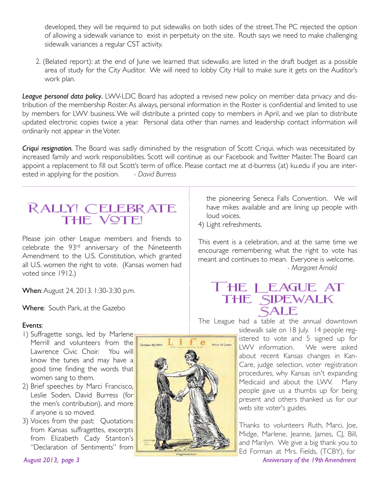developed, they will be required to put sidewalks on both sides of the street. The PC rejected the option of allowing a sidewalk variance to exist in perpetuity on the site. Routh says we need to make challenging sidewalk variances a regular CST activity.

2. (Belated report): at the end of June we learned that sidewalks are listed in the draft budget as a possible area of study for the City Auditor. We will need to lobby City Hall to make sure it gets on the Auditor's work plan.

*League personal data policy*. LWV-LDC Board has adopted a revised new policy on member data privacy and distribution of the membership Roster. As always, personal information in the Roster is confidential and limited to use by members for LWV business. We will distribute a printed copy to members in April, and we plan to distribute updated electronic copies twice a year. Personal data other than names and leadership contact information will ordinarily not appear in the Voter.

*Criqui resignation.* The Board was sadly diminished by the resignation of Scott Criqui, which was necessitated by increased family and work responsibilities. Scott will continue as our Facebook and Twitter Master. The Board can appoint a replacement to fill out Scott's term of office. Please contact me at d-burress (at) ku.edu if you are interested in applying for the position. *- David Burress*

## Rally! Celebrate the Vote!

Please join other League members and friends to celebrate the 93rd anniversary of the Nineteenth Amendment to the U.S. Constitution, which granted all U.S. women the right to vote. (Kansas women had voted since 1912.)

When: August 24, 2013. 1:30-3:30 p.m.

Where: South Park, at the Gazebo

#### Events:

- 1) Suffragette songs, led by Marlene Merrill and volunteers from the Lawrence Civic Choir. You will know the tunes and may have a good time finding the words that women sang to them.
- 2) Brief speeches by Marci Francisco, Leslie Soden, David Burress (for the men's contribution), and more if anyone is so moved.
- 3) Voices from the past: Quotations from Kansas suffragettes, excerpts from Elizabeth Cady Stanton's "Declaration of Sentiments" from



the pioneering Seneca Falls Convention. We will have mikes available and are lining up people with loud voices.

4) Light refreshments.

This event is a celebration, and at the same time we encourage remembering what the right to vote has meant and continues to mean. Everyone is welcome. *!!!! - Margaret Arnold*

### The League at the Sidewalk **SALE**

The League had a table at the annual downtown

sidewalk sale on 18 July. 14 people registered to vote and 5 signed up for LWV information. We were asked about recent Kansas changes in Kan-Care, judge selection, voter registration procedures, why Kansas isn't expanding Medicaid and about the LWV. Many people gave us a thumbs up for being present and others thanked us for our web site voter's guides.

Thanks to volunteers Ruth, Marci, Joe, Midge, Marlene, Jeanne, James, CJ, Bill, and Marilyn. We give a big thank you to Ed Forman at Mrs. Fields, (TCBY), for *August 2013, page 3 Anniversary of the 19th Amendment*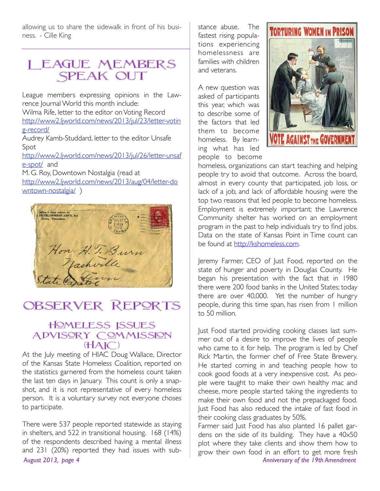allowing us to share the sidewalk in front of his business. - Cille King

## League Members SPEAK OUT

League members expressing opinions in the Lawrence Journal World this month include: Wilma Rife, letter to the editor on Voting Record http://www2.ljworld.com/news/2013/jul/23/letter-votin g-record/

Audrey Kamb-Studdard, letter to the editor Unsafe Spot

http://www2.ljworld.com/news/2013/jul/26/letter-unsaf e-spot/ and

M. G. Roy, Downtown Nostalgia (read at http://www2.ljworld.com/news/2013/aug/04/letter-do wntown-nostalgia/)



## Observer Reports

#### Homeless Issues ADVISORY COMMISSION  $(HAIC)$

At the July meeting of HIAC Doug Wallace, Director of the Kansas State Homeless Coalition, reported on the statistics garnered from the homeless count taken the last ten days in January. This count is only a snapshot, and it is not representative of every homeless person. It is a voluntary survey not everyone choses to participate.

There were 537 people reported statewide as staying in shelters, and 522 in transitional housing. 168 (14%) of the respondents described having a mental illness and 231 (20%) reported they had issues with sub-*August 2013, page 4 Anniversary of the 19th Amendment*

stance abuse. The fastest rising populations experiencing homelessness are families with children and veterans.

A new question was asked of participants this year, which was to describe some of the factors that led them to become homeless. By learning what has led people to become



homeless, organizations can start teaching and helping people try to avoid that outcome. Across the board, almost in every county that participated, job loss, or lack of a job, and lack of affordable housing were the top two reasons that led people to become homeless. Employment is extremely important; the Lawrence Community shelter has worked on an employment program in the past to help individuals try to find jobs. Data on the state of Kansas Point in Time count can be found at http://kshomeless.com.

Jeremy Farmer, CEO of Just Food, reported on the state of hunger and poverty in Douglas County. He began his presentation with the fact that in 1980 there were 200 food banks in the United States; today there are over 40,000. Yet the number of hungry people, during this time span, has risen from 1 million to 50 million.

Just Food started providing cooking classes last summer out of a desire to improve the lives of people who came to it for help. The program is led by Chef Rick Martin, the former chef of Free State Brewery. He started coming in and teaching people how to cook good foods at a very inexpensive cost. As people were taught to make their own healthy mac and cheese, more people started taking the ingredients to make their own food and not the prepackaged food. Just Food has also reduced the intake of fast food in their cooking class graduates by 50%.

Farmer said Just Food has also planted 16 pallet gardens on the side of its building. They have a 40x50 plot where they take clients and show them how to grow their own food in an effort to get more fresh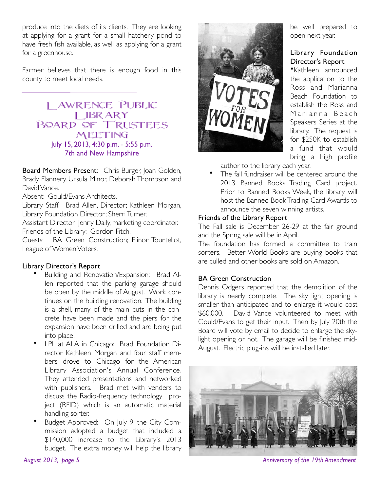produce into the diets of its clients. They are looking at applying for a grant for a small hatchery pond to have fresh fish available, as well as applying for a grant for a greenhouse.

Farmer believes that there is enough food in this county to meet local needs.

#### Lawrence Public LIBRARY Board of Trustees **MEETING** July 15, 2013, 4:30 p.m. - 5:55 p.m. 7th and New Hampshire

Board Members Present: Chris Burger, Joan Golden, Brady Flannery, Ursula Minor, Deborah Thompson and David Vance.

Absent: Gould/Evans Architects.

Library Staff: Brad Allen, Director; Kathleen Morgan, Library Foundation Director; Sherri Turner,

Assistant Director; Jenny Daily, marketing coordinator. Friends of the Library: Gordon Fitch.

Guests: BA Green Construction; Elinor Tourtellot, League of Women Voters.

#### Library Director's Report

- Building and Renovation/Expansion: Brad Allen reported that the parking garage should be open by the middle of August. Work continues on the building renovation. The building is a shell, many of the main cuts in the concrete have been made and the piers for the expansion have been drilled and are being put into place.
- LPL at ALA in Chicago: Brad, Foundation Director Kathleen Morgan and four staff members drove to Chicago for the American Library Association's Annual Conference. They attended presentations and networked with publishers. Brad met with venders to discuss the Radio-frequency technology project (RFID) which is an automatic material handling sorter.
- Budget Approved: On July 9, the City Commission adopted a budget that included a \$140,000 increase to the Library's 2013 budget. The extra money will help the library



be well prepared to open next year.

#### Library Foundation Director's Report

•Kathleen announced the application to the Ross and Marianna Beach Foundation to establish the Ross and Marianna Beach Speakers Series at the library. The request is for \$250K to establish a fund that would bring a high profile

author to the library each year.

The fall fundraiser will be centered around the 2013 Banned Books Trading Card project. Prior to Banned Books Week, the library will host the Banned Book Trading Card Awards to announce the seven winning artists.

#### Friends of the Library Report

The Fall sale is December 26-29 at the fair ground and the Spring sale will be in April.

The foundation has formed a committee to train sorters. Better World Books are buying books that are culled and other books are sold on Amazon.

#### BA Green Construction

Dennis Odgers reported that the demolition of the library is nearly complete. The sky light opening is smaller than anticipated and to enlarge it would cost \$60,000. David Vance volunteered to meet with Gould/Evans to get their input. Then by July 20th the Board will vote by email to decide to enlarge the skylight opening or not. The garage will be finished mid-August. Electric plug-ins will be installed later.



*August 2013, page 5 Anniversary of the 19th Amendment*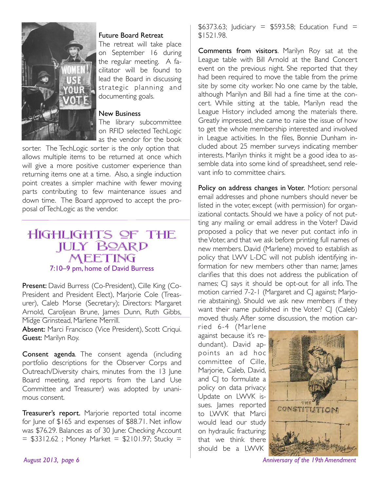

#### Future Board Retreat

The retreat will take place on September 16 during the regular meeting. A facilitator will be found to lead the Board in discussing strategic planning and documenting goals.

#### New Business

The library subcommittee on RFID selected TechLogic as the vendor for the book

sorter. The TechLogic sorter is the only option that allows multiple items to be returned at once which will give a more positive customer experience than returning items one at a time. Also, a single induction point creates a simpler machine with fewer moving parts contributing to few maintenance issues and down time. The Board approved to accept the proposal of TechLogic as the vendor.

#### Highlights of the **JULY BOARD** Meeting 7:10–9 pm, home of David Burress

Present: David Burress (Co-President), Cille King (Co-President and President Elect), Marjorie Cole (Treasurer), Caleb Morse (Secretary); Directors: Margaret Arnold, Caroljean Brune, James Dunn, Ruth Gibbs,

Midge Grinstead, Marlene Merrill.

Absent: Marci Francisco (Vice President), Scott Criqui. Guest: Marilyn Roy.

Consent agenda. The consent agenda (including portfolio descriptions for the Observer Corps and Outreach/Diversity chairs, minutes from the 13 June Board meeting, and reports from the Land Use Committee and Treasurer) was adopted by unanimous consent.

Treasurer's report. Marjorie reported total income for June of \$165 and expenses of \$88.71. Net inflow was \$76.29. Balances as of 30 June: Checking Account  $=$  \$3312.62 ; Money Market = \$2101.97; Stucky =

 $$6373.63$ ; Judiciary =  $$593.58$ ; Education Fund = \$1521.98.

Comments from visitors. Marilyn Roy sat at the League table with Bill Arnold at the Band Concert event on the previous night. She reported that they had been required to move the table from the prime site by some city worker. No one came by the table, although Marilyn and Bill had a fine time at the concert. While sitting at the table, Marilyn read the League History included among the materials there. Greatly impressed, she came to raise the issue of how to get the whole membership interested and involved in League activities. In the files, Bonnie Dunham included about 25 member surveys indicating member interests. Marilyn thinks it might be a good idea to assemble data into some kind of spreadsheet, send relevant info to committee chairs.

Policy on address changes in Voter. Motion: personal email addresses and phone numbers should never be listed in the voter, except (with permission) for organizational contacts. Should we have a policy of not putting any mailing or email address in the Voter? David proposed a policy that we never put contact info in the Voter, and that we ask before printing full names of new members. David (Marlene) moved to establish as policy that LWV L-DC will not publish identifying information for new members other than name; James clarifies that this does not address the publication of names; CJ says it should be opt-out for all info. The motion carried 7-2-1 (Margaret and CJ against; Marjorie abstaining). Should we ask new members if they want their name published in the Voter? CJ (Caleb) moved thusly. After some discussion, the motion car-

ried 6-4 (Marlene against because it's redundant). David appoints an ad hoc committee of Cille, Marjorie, Caleb, David, and CJ to formulate a policy on data privacy. Update on LWVK issues. James reported to LWVK that Marci would lead our study on hydraulic fracturing; that we think there should be a LWVK



August 2013, page 6 **Anniversary of the 19th Amendment**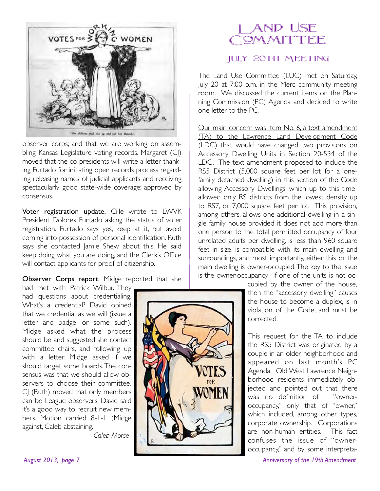

observer corps; and that we are working on assembling Kansas Legislature voting records. Margaret (CJ) moved that the co-presidents will write a letter thanking Furtado for initiating open records process regarding releasing names of judicial applicants and receiving spectacularly good state-wide coverage; approved by consensus.

Voter registration update. Cille wrote to LWVK President Dolores Furtado asking the status of voter registration. Furtado says yes, keep at it, but avoid coming into possession of personal identification. Ruth says she contacted Jamie Shew about this. He said keep doing what you are doing, and the Clerk's Office will contact applicants for proof of citizenship.

Observer Corps report. Midge reported that she

had met with Patrick Wilbur. They had questions about credentialing. What's a credential? David opined that we credential as we will (issue a letter and badge, or some such). Midge asked what the process should be and suggested she contact committee chairs, and following up with a letter. Midge asked if we should target some boards. The consensus was that we should allow observers to choose their committee. CJ (Ruth) moved that only members can be League observers. David said it's a good way to recruit new members. Motion carried 8-1-1 (Midge against, Caleb abstaining.

!!! - *Caleb Morse*

## Land Use OMMITTEE

#### July 20th Meeting

The Land Use Committee (LUC) met on Saturday, July 20 at 7:00 p.m. in the Merc community meeting room. We discussed the current items on the Planning Commission (PC) Agenda and decided to write one letter to the PC.

Our main concern was Item No. 6, a text amendment (TA) to the Lawrence Land Development Code (LDC) that would have changed two provisions on Accessory Dwelling Units in Section 20-534 of the LDC. The text amendment proposed to include the RS5 District (5,000 square feet per lot for a onefamily detached dwelling) in this section of the Code allowing Accessory Dwellings, which up to this time allowed only RS districts from the lowest density up to RS7, or 7,000 square feet per lot. This provision, among others, allows one additional dwelling in a single family house provided it does not add more than one person to the total permitted occupancy of four unrelated adults per dwelling, is less than 960 square feet in size, is compatible with its main dwelling and surroundings, and most importantly, either this or the main dwelling is owner-occupied. The key to the issue is the owner-occupancy. If one of the units is not oc-

> cupied by the owner of the house, then the "accessory dwelling" causes the house to become a duplex, is in violation of the Code, and must be corrected.

> This request for the TA to include the RS5 District was originated by a couple in an older neighborhood and appeared on last month's PC Agenda. Old West Lawrence Neighborhood residents immediately objected and pointed out that there was no definition of "owneroccupancy," only that of "owner," which included, among other types, corporate ownership. Corporations are non-human entities. This fact confuses the issue of "owneroccupancy," and by some interpreta-

August 2013, page 7 and 2013, page 7 and 2014 and 2014 and 2014 and 2014 and 2014 and 2014 and 2014 and 2014 and 2014 and 2014 and 2014 and 2014 and 2014 and 2014 and 2014 and 2014 and 2014 and 2014 and 2014 and 2014 and 2

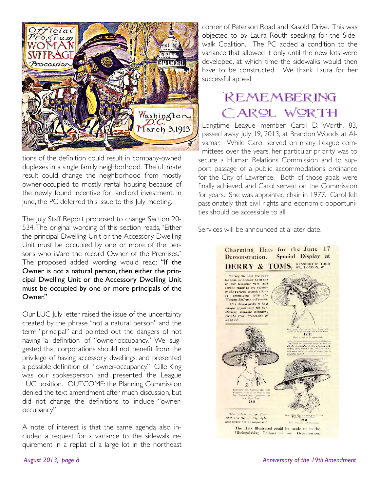

tions of the definition could result in company-owned duplexes in a single family neighborhood. The ultimate result could change the neighborhood from mostly owner-occupied to mostly rental housing because of the newly found incentive for landlord investment. In June, the PC deferred this issue to this July meeting.

The July Staff Report proposed to change Section 20- 534. The original wording of this section reads, "Either the principal Dwelling Unit or the Accessory Dwelling Unit must be occupied by one or more of the persons who is/are the record Owner of the Premises." The proposed added wording would read: "If the Owner is not a natural person, then either the principal Dwelling Unit or the Accessory Dwelling Unit must be occupied by one or more principals of the Owner."

Our LUC July letter raised the issue of the uncertainty created by the phrase "not a natural person" and the term "principal" and pointed out the dangers of not having a definition of "owner-occupancy." We suggested that corporations should not benefit from the privilege of having accessory dwellings, and presented a possible definition of "owner-occupancy." Cille King was our spokesperson and presented the League LUC position. OUTCOME: the Planning Commission denied the text amendment after much discussion, but did not change the definitions to include "owneroccupancy."

A note of interest is that the same agenda also included a request for a variance to the sidewalk requirement in a replat of a large lot in the northeast corner of Peterson Road and Kasold Drive. This was objected to by Laura Routh speaking for the Sidewalk Coalition. The PC added a condition to the variance that allowed it only until the new lots were developed, at which time the sidewalks would then have to be constructed. We thank Laura for her successful appeal.

## Remembering CARQL WORTH

Longtime League member Carol D. Worth, 83, passed away July 19, 2013, at Brandon Woods at Alvamar. While Carol served on many League committees over the years, her particular priority was to secure a Human Relations Commission and to support passage of a public accommodations ordinance for the City of Lawrence. Both of those goals were finally achieved, and Carol served on the Commission for years. She was appointed chair in 1977. Carol felt passionately that civil rights and economic opportunities should be accessible to all.

Services will be announced at a later date.